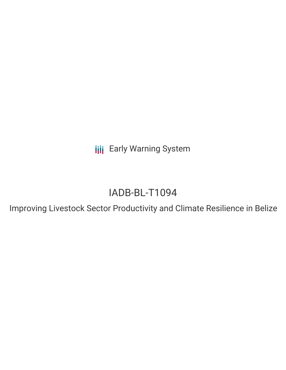**III** Early Warning System

# IADB-BL-T1094

Improving Livestock Sector Productivity and Climate Resilience in Belize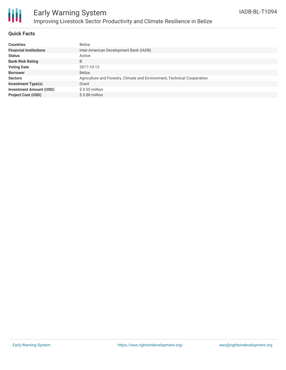

# Early Warning System Improving Livestock Sector Productivity and Climate Resilience in Belize

## **Quick Facts**

| <b>Countries</b>               | Belize                                                                   |
|--------------------------------|--------------------------------------------------------------------------|
| <b>Financial Institutions</b>  | Inter-American Development Bank (IADB)                                   |
| <b>Status</b>                  | Active                                                                   |
| <b>Bank Risk Rating</b>        | B                                                                        |
| <b>Voting Date</b>             | 2017-10-13                                                               |
| <b>Borrower</b>                | <b>Belize</b>                                                            |
| <b>Sectors</b>                 | Agriculture and Forestry, Climate and Environment, Technical Cooperation |
| <b>Investment Type(s)</b>      | Grant                                                                    |
| <b>Investment Amount (USD)</b> | $$0.55$ million                                                          |
| <b>Project Cost (USD)</b>      | \$0.88 million                                                           |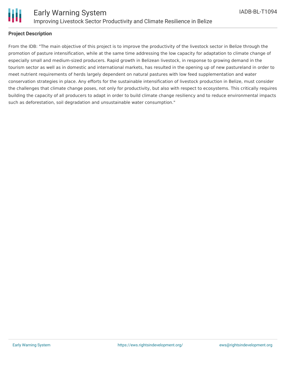

#### **Project Description**

From the IDB: "The main objective of this project is to improve the productivity of the livestock sector in Belize through the promotion of pasture intensification, while at the same time addressing the low capacity for adaptation to climate change of especially small and medium-sized producers. Rapid growth in Belizean livestock, in response to growing demand in the tourism sector as well as in domestic and international markets, has resulted in the opening up of new pastureland in order to meet nutrient requirements of herds largely dependent on natural pastures with low feed supplementation and water conservation strategies in place. Any efforts for the sustainable intensification of livestock production in Belize, must consider the challenges that climate change poses, not only for productivity, but also with respect to ecosystems. This critically requires building the capacity of all producers to adapt in order to build climate change resiliency and to reduce environmental impacts such as deforestation, soil degradation and unsustainable water consumption."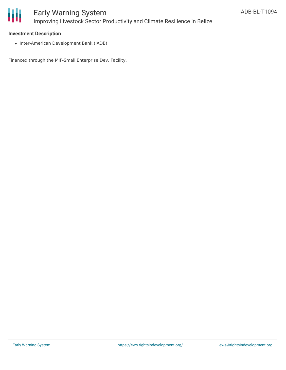

#### **Investment Description**

• Inter-American Development Bank (IADB)

Financed through the MIF-Small Enterprise Dev. Facility.